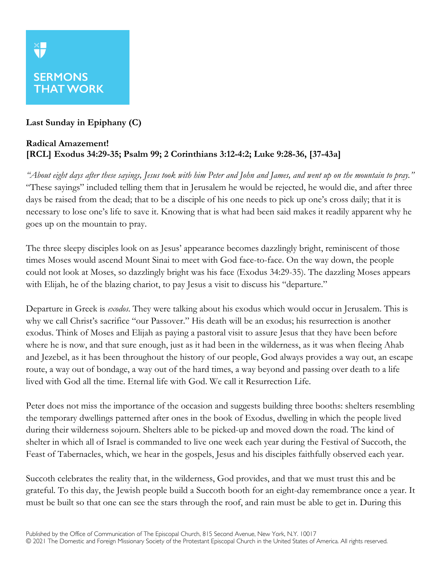## **XF SERMONS THAT WORK**

## **Last Sunday in Epiphany (C)**

## **Radical Amazement! [RCL] Exodus 34:29-35; Psalm 99; 2 Corinthians 3:12-4:2; Luke 9:28-36, [37-43a]**

*"About eight days after these sayings, Jesus took with him Peter and John and James, and went up on the mountain to pray."* "These sayings" included telling them that in Jerusalem he would be rejected, he would die, and after three days be raised from the dead; that to be a disciple of his one needs to pick up one's cross daily; that it is necessary to lose one's life to save it. Knowing that is what had been said makes it readily apparent why he goes up on the mountain to pray.

The three sleepy disciples look on as Jesus' appearance becomes dazzlingly bright, reminiscent of those times Moses would ascend Mount Sinai to meet with God face-to-face. On the way down, the people could not look at Moses, so dazzlingly bright was his face (Exodus 34:29-35). The dazzling Moses appears with Elijah, he of the blazing chariot, to pay Jesus a visit to discuss his "departure."

Departure in Greek is *exodos*. They were talking about his exodus which would occur in Jerusalem. This is why we call Christ's sacrifice "our Passover." His death will be an exodus; his resurrection is another exodus. Think of Moses and Elijah as paying a pastoral visit to assure Jesus that they have been before where he is now, and that sure enough, just as it had been in the wilderness, as it was when fleeing Ahab and Jezebel, as it has been throughout the history of our people, God always provides a way out, an escape route, a way out of bondage, a way out of the hard times, a way beyond and passing over death to a life lived with God all the time. Eternal life with God. We call it Resurrection Life.

Peter does not miss the importance of the occasion and suggests building three booths: shelters resembling the temporary dwellings patterned after ones in the book of Exodus, dwelling in which the people lived during their wilderness sojourn. Shelters able to be picked-up and moved down the road. The kind of shelter in which all of Israel is commanded to live one week each year during the Festival of Succoth, the Feast of Tabernacles, which, we hear in the gospels, Jesus and his disciples faithfully observed each year.

Succoth celebrates the reality that, in the wilderness, God provides, and that we must trust this and be grateful. To this day, the Jewish people build a Succoth booth for an eight-day remembrance once a year. It must be built so that one can see the stars through the roof, and rain must be able to get in. During this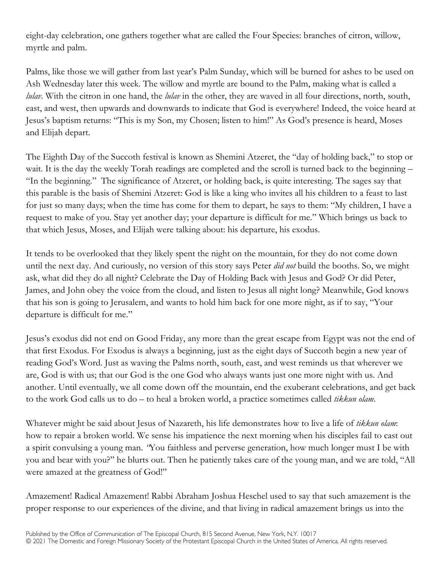eight-day celebration, one gathers together what are called the Four Species: branches of citron, willow, myrtle and palm.

Palms, like those we will gather from last year's Palm Sunday, which will be burned for ashes to be used on Ash Wednesday later this week. The willow and myrtle are bound to the Palm, making what is called a *lulav*. With the citron in one hand, the *lulav* in the other, they are waved in all four directions, north, south, east, and west, then upwards and downwards to indicate that God is everywhere! Indeed, the voice heard at Jesus's baptism returns: "This is my Son, my Chosen; listen to him!" As God's presence is heard, Moses and Elijah depart.

The Eighth Day of the Succoth festival is known as Shemini Atzeret, the "day of holding back," to stop or wait. It is the day the weekly Torah readings are completed and the scroll is turned back to the beginning – "In the beginning." The significance of Atzeret, or holding back, is quite interesting. The sages say that this parable is the basis of Shemini Atzeret: God is like a king who invites all his children to a feast to last for just so many days; when the time has come for them to depart, he says to them: "My children, I have a request to make of you. Stay yet another day; your departure is difficult for me." Which brings us back to that which Jesus, Moses, and Elijah were talking about: his departure, his exodus.

It tends to be overlooked that they likely spent the night on the mountain, for they do not come down until the next day. And curiously, no version of this story says Peter *did not* build the booths. So, we might ask, what did they do all night? Celebrate the Day of Holding Back with Jesus and God? Or did Peter, James, and John obey the voice from the cloud, and listen to Jesus all night long? Meanwhile, God knows that his son is going to Jerusalem, and wants to hold him back for one more night, as if to say, "Your departure is difficult for me."

Jesus's exodus did not end on Good Friday, any more than the great escape from Egypt was not the end of that first Exodus. For Exodus is always a beginning, just as the eight days of Succoth begin a new year of reading God's Word. Just as waving the Palms north, south, east, and west reminds us that wherever we are, God is with us; that our God is the one God who always wants just one more night with us. And another. Until eventually, we all come down off the mountain, end the exuberant celebrations, and get back to the work God calls us to do – to heal a broken world, a practice sometimes called *tikkun olam*.

Whatever might be said about Jesus of Nazareth, his life demonstrates how to live a life of *tikkun olam*: how to repair a broken world. We sense his impatience the next morning when his disciples fail to cast out a spirit convulsing a young man. *"*You faithless and perverse generation, how much longer must I be with you and bear with you?" he blurts out. Then he patiently takes care of the young man, and we are told, "All were amazed at the greatness of God!"

Amazement! Radical Amazement! Rabbi Abraham Joshua Heschel used to say that such amazement is the proper response to our experiences of the divine, and that living in radical amazement brings us into the